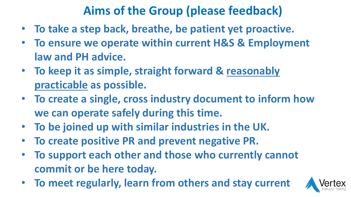### **Aims of the Group (please feedback)**

- **To take a step back, breathe, be patient yet proactive.**
- **To ensure we operate within current H&S & Employment law and PH advice.**
- **To keep it as simple, straight forward & reasonably practicable as possible.**
- **To create a single, cross industry document to inform how we can operate safely during this time.**
- **To be joined up with similar industries in the UK.**
- **To create positive PR and prevent negative PR.**
- **To support each other and those who currently cannot commit or be here today.**
- **To meet regularly, learn from others and stay current**

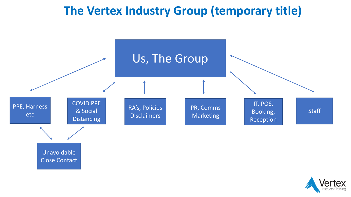#### **The Vertex Industry Group (temporary title)**



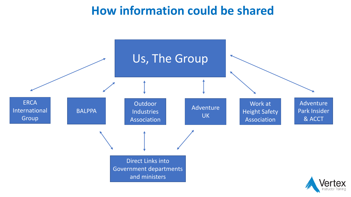#### **How information could be shared**

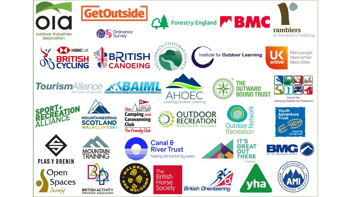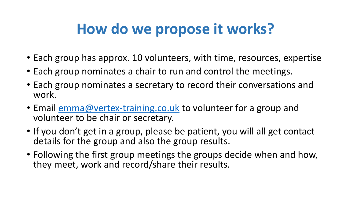## **How do we propose it works?**

- Each group has approx. 10 volunteers, with time, resources, expertise
- Each group nominates a chair to run and control the meetings.
- Each group nominates a secretary to record their conversations and work.
- Email [emma@vertex-training.co.uk](mailto:emma@vertex-training.co.uk) to volunteer for a group and volunteer to be chair or secretary.
- If you don't get in a group, please be patient, you will all get contact details for the group and also the group results.
- Following the first group meetings the groups decide when and how, they meet, work and record/share their results.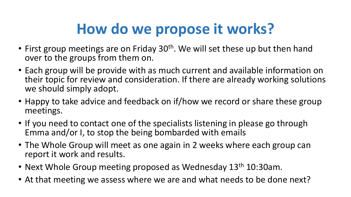# **How do we propose it works?**

- First group meetings are on Friday 30<sup>th</sup>. We will set these up but then hand over to the groups from them on.
- Each group will be provide with as much current and available information on their topic for review and consideration. If there are already working solutions we should simply adopt.
- Happy to take advice and feedback on if/how we record or share these group meetings.
- If you need to contact one of the specialists listening in please go through Emma and/or I, to stop the being bombarded with emails
- The Whole Group will meet as one again in 2 weeks where each group can report it work and results.
- Next Whole Group meeting proposed as Wednesday 13<sup>th</sup> 10:30am.
- At that meeting we assess where we are and what needs to be done next?